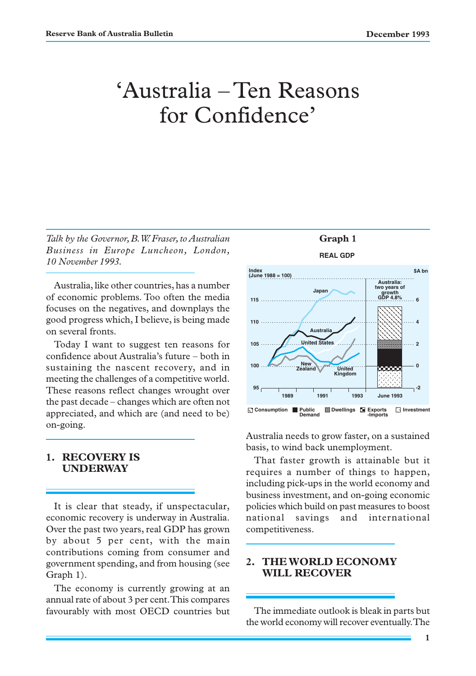# 'Australia – Ten Reasons for Confidence'

*Talk by the Governor, B.W. Fraser, to Australian Business in Europe Luncheon, London, 10 November 1993.*

Australia, like other countries, has a number of economic problems. Too often the media focuses on the negatives, and downplays the good progress which, I believe, is being made on several fronts.

Today I want to suggest ten reasons for confidence about Australia's future – both in sustaining the nascent recovery, and in meeting the challenges of a competitive world. These reasons reflect changes wrought over the past decade – changes which are often not appreciated, and which are (and need to be) on-going.

#### **1. RECOVERY IS UNDERWAY**

It is clear that steady, if unspectacular, economic recovery is underway in Australia. Over the past two years, real GDP has grown by about 5 per cent, with the main contributions coming from consumer and government spending, and from housing (see Graph 1).

The economy is currently growing at an annual rate of about 3 per cent. This compares favourably with most OECD countries but



Australia needs to grow faster, on a sustained basis, to wind back unemployment.

That faster growth is attainable but it requires a number of things to happen, including pick-ups in the world economy and business investment, and on-going economic policies which build on past measures to boost national savings and international competitiveness.

#### **2. THE WORLD ECONOMY WILL RECOVER**

The immediate outlook is bleak in parts but the world economy will recover eventually. The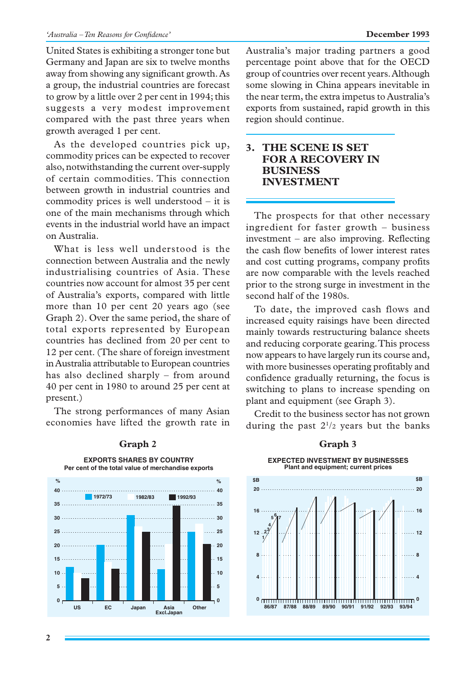United States is exhibiting a stronger tone but Germany and Japan are six to twelve months away from showing any significant growth. As a group, the industrial countries are forecast to grow by a little over 2 per cent in 1994; this suggests a very modest improvement compared with the past three years when growth averaged 1 per cent.

As the developed countries pick up, commodity prices can be expected to recover also, notwithstanding the current over-supply of certain commodities. This connection between growth in industrial countries and commodity prices is well understood – it is one of the main mechanisms through which events in the industrial world have an impact on Australia.

What is less well understood is the connection between Australia and the newly industrialising countries of Asia. These countries now account for almost 35 per cent of Australia's exports, compared with little more than 10 per cent 20 years ago (see Graph 2). Over the same period, the share of total exports represented by European countries has declined from 20 per cent to 12 per cent. (The share of foreign investment in Australia attributable to European countries has also declined sharply – from around 40 per cent in 1980 to around 25 per cent at present.)

The strong performances of many Asian economies have lifted the growth rate in

**0 5 10 15 20 25 30 35 0 5 10 15 20 25** . . . . . . . . . . . . . 30 . . . . . . . . . . . . . . . 35 **% % 1972/73 1982/83 1992/93** US EC Japan Asia **Excl.Japan Other Per cent of the total value of merchandise exports 40 40**

### **EXPORTS SHARES BY COUNTRY** Graph 2 Graph 3

Australia's major trading partners a good percentage point above that for the OECD group of countries over recent years. Although some slowing in China appears inevitable in the near term, the extra impetus to Australia's exports from sustained, rapid growth in this region should continue.

#### **3. THE SCENE IS SET FOR A RECOVERY IN BUSINESS INVESTMENT**

The prospects for that other necessary ingredient for faster growth – business investment – are also improving. Reflecting the cash flow benefits of lower interest rates and cost cutting programs, company profits are now comparable with the levels reached prior to the strong surge in investment in the second half of the 1980s.

To date, the improved cash flows and increased equity raisings have been directed mainly towards restructuring balance sheets and reducing corporate gearing. This process now appears to have largely run its course and, with more businesses operating profitably and confidence gradually returning, the focus is switching to plans to increase spending on plant and equipment (see Graph 3).

Credit to the business sector has not grown during the past  $2^{1/2}$  years but the banks



**EXPECTED INVESTMENT BY BUSINESSES Plant and equipment; current prices**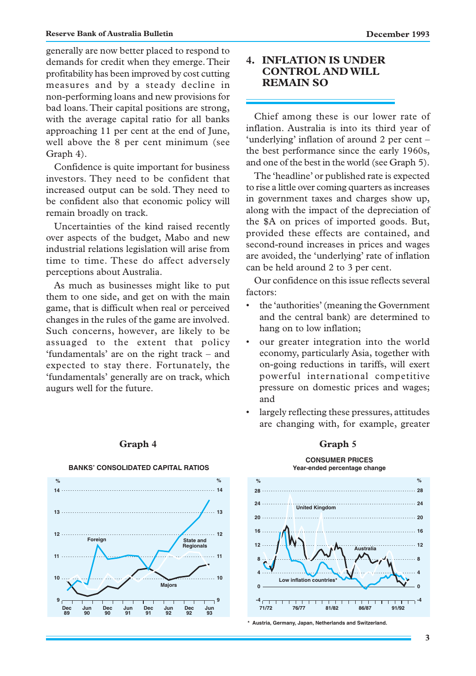generally are now better placed to respond to demands for credit when they emerge. Their profitability has been improved by cost cutting measures and by a steady decline in non-performing loans and new provisions for bad loans. Their capital positions are strong, with the average capital ratio for all banks approaching 11 per cent at the end of June, well above the 8 per cent minimum (see Graph 4).

Confidence is quite important for business investors. They need to be confident that increased output can be sold. They need to be confident also that economic policy will remain broadly on track.

Uncertainties of the kind raised recently over aspects of the budget, Mabo and new industrial relations legislation will arise from time to time. These do affect adversely perceptions about Australia.

As much as businesses might like to put them to one side, and get on with the main game, that is difficult when real or perceived changes in the rules of the game are involved. Such concerns, however, are likely to be assuaged to the extent that policy 'fundamentals' are on the right track – and expected to stay there. Fortunately, the 'fundamentals' generally are on track, which augurs well for the future.

#### **4. INFLATION IS UNDER CONTROL AND WILL REMAIN SO**

Chief among these is our lower rate of inflation. Australia is into its third year of 'underlying' inflation of around 2 per cent – the best performance since the early 1960s, and one of the best in the world (see Graph 5).

The 'headline' or published rate is expected to rise a little over coming quarters as increases in government taxes and charges show up, along with the impact of the depreciation of the \$A on prices of imported goods. But, provided these effects are contained, and second-round increases in prices and wages are avoided, the 'underlying' rate of inflation can be held around 2 to 3 per cent.

Our confidence on this issue reflects several factors:

- the 'authorities' (meaning the Government and the central bank) are determined to hang on to low inflation;
- our greater integration into the world economy, particularly Asia, together with on-going reductions in tariffs, will exert powerful international competitive pressure on domestic prices and wages; and
- largely reflecting these pressures, attitudes are changing with, for example, greater

**CONSUMER PRICES**



#### Graph 4 Graph 5



**\* Austria, Germany, Japan, Netherlands and Switzerland.**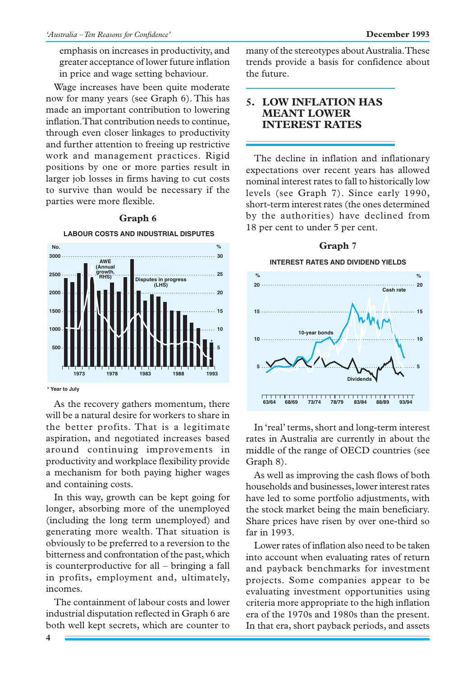emphasis on increases in productivity, and greater acceptance of lower future inflation in price and wage setting behaviour.

Wage increases have been quite moderate now for many years (see Graph 6). This has made an important contribution to lowering inflation. That contribution needs to continue, through even closer linkages to productivity and further attention to freeing up restrictive work and management practices. Rigid positions by one or more parties result in larger job losses in firms having to cut costs to survive than would be necessary if the parties were more flexible.



#### **Graph 6**

As the recovery gathers momentum, there will be a natural desire for workers to share in the better profits. That is a legitimate aspiration, and negotiated increases based around continuing improvements in productivity and workplace flexibility provide a mechanism for both paying higher wages and containing costs.

In this way, growth can be kept going for longer, absorbing more of the unemployed (including the long term unemployed) and generating more wealth. That situation is obviously to be preferred to a reversion to the bitterness and confrontation of the past, which is counterproductive for all – bringing a fall in profits, employment and, ultimately, incomes.

The containment of labour costs and lower industrial disputation reflected in Graph 6 are both well kept secrets, which are counter to many of the stereotypes about Australia. These trends provide a basis for confidence about the future.

### **5. LOW INFLATION HAS MEANT LOWER INTEREST RATES**

The decline in inflation and inflationary expectations over recent years has allowed nominal interest rates to fall to historically low levels (see Graph 7). Since early 1990, short-term interest rates (the ones determined by the authorities) have declined from 18 per cent to under 5 per cent.



In 'real' terms, short and long-term interest rates in Australia are currently in about the middle of the range of OECD countries (see Graph 8).

As well as improving the cash flows of both households and businesses, lower interest rates have led to some portfolio adjustments, with the stock market being the main beneficiary. Share prices have risen by over one-third so far in 1993.

Lower rates of inflation also need to be taken into account when evaluating rates of return and payback benchmarks for investment projects. Some companies appear to be evaluating investment opportunities using criteria more appropriate to the high inflation era of the 1970s and 1980s than the present. In that era, short payback periods, and assets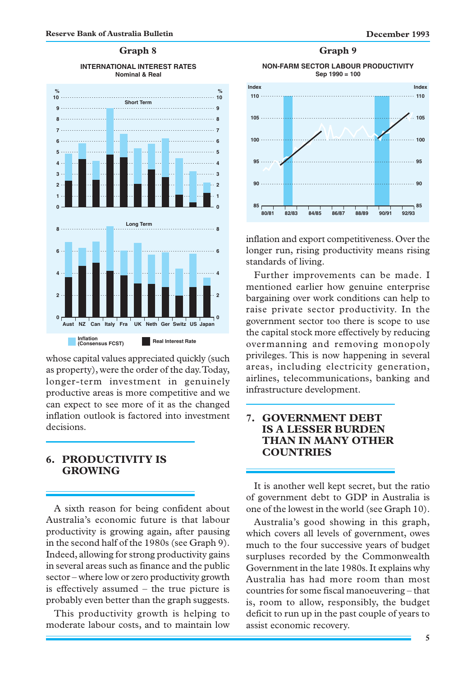#### **Graph 8**

#### **INTERNATIONAL INTEREST RATES Nominal & Real**



whose capital values appreciated quickly (such as property), were the order of the day. Today, longer-term investment in genuinely productive areas is more competitive and we can expect to see more of it as the changed inflation outlook is factored into investment decisions.

#### **6. PRODUCTIVITY IS GROWING**

A sixth reason for being confident about Australia's economic future is that labour productivity is growing again, after pausing in the second half of the 1980s (see Graph 9). Indeed, allowing for strong productivity gains in several areas such as finance and the public sector – where low or zero productivity growth is effectively assumed – the true picture is probably even better than the graph suggests.

This productivity growth is helping to moderate labour costs, and to maintain low



inflation and export competitiveness. Over the longer run, rising productivity means rising standards of living.

Further improvements can be made. I mentioned earlier how genuine enterprise bargaining over work conditions can help to raise private sector productivity. In the government sector too there is scope to use the capital stock more effectively by reducing overmanning and removing monopoly privileges. This is now happening in several areas, including electricity generation, airlines, telecommunications, banking and infrastructure development.

#### **7. GOVERNMENT DEBT IS A LESSER BURDEN THAN IN MANY OTHER COUNTRIES**

It is another well kept secret, but the ratio of government debt to GDP in Australia is one of the lowest in the world (see Graph 10).

Australia's good showing in this graph, which covers all levels of government, owes much to the four successive years of budget surpluses recorded by the Commonwealth Government in the late 1980s. It explains why Australia has had more room than most countries for some fiscal manoeuvering – that is, room to allow, responsibly, the budget deficit to run up in the past couple of years to assist economic recovery.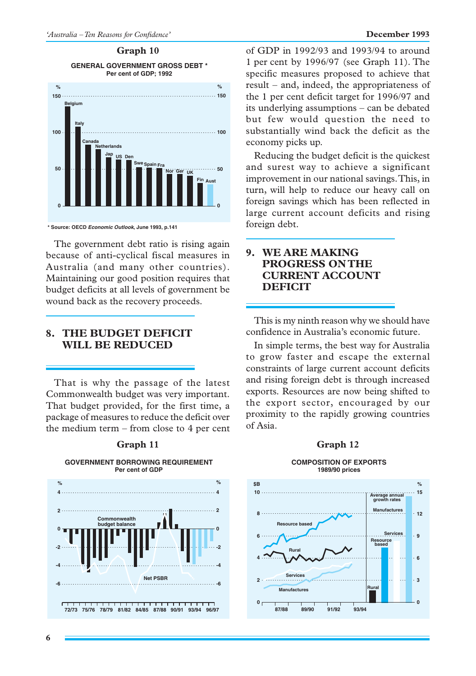#### **Graph 10**

**GENERAL GOVERNMENT GROSS DEBT \* Per cent of GDP; 1992**



**\* Source: OECD Economic Outlook, June 1993, p.141**

The government debt ratio is rising again because of anti-cyclical fiscal measures in Australia (and many other countries). Maintaining our good position requires that budget deficits at all levels of government be wound back as the recovery proceeds.

#### **8. THE BUDGET DEFICIT WILL BE REDUCED**

That is why the passage of the latest Commonwealth budget was very important. That budget provided, for the first time, a package of measures to reduce the deficit over the medium term – from close to 4 per cent



## Graph 11 **Graph 12**

#### of GDP in 1992/93 and 1993/94 to around 1 per cent by 1996/97 (see Graph 11). The specific measures proposed to achieve that result – and, indeed, the appropriateness of the 1 per cent deficit target for 1996/97 and its underlying assumptions – can be debated but few would question the need to substantially wind back the deficit as the economy picks up.

Reducing the budget deficit is the quickest and surest way to achieve a significant improvement in our national savings. This, in turn, will help to reduce our heavy call on foreign savings which has been reflected in large current account deficits and rising foreign debt.

### **9. WE ARE MAKING PROGRESS ON THE CURRENT ACCOUNT DEFICIT**

This is my ninth reason why we should have confidence in Australia's economic future.

In simple terms, the best way for Australia to grow faster and escape the external constraints of large current account deficits and rising foreign debt is through increased exports. Resources are now being shifted to the export sector, encouraged by our proximity to the rapidly growing countries of Asia.

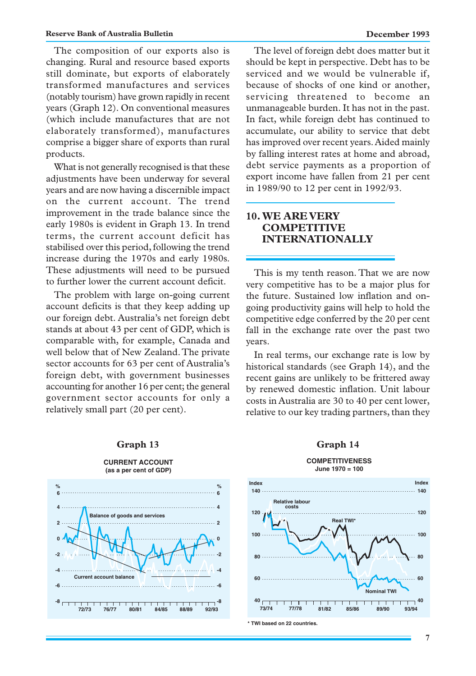The composition of our exports also is changing. Rural and resource based exports still dominate, but exports of elaborately transformed manufactures and services (notably tourism) have grown rapidly in recent years (Graph 12). On conventional measures (which include manufactures that are not elaborately transformed), manufactures comprise a bigger share of exports than rural products.

What is not generally recognised is that these adjustments have been underway for several years and are now having a discernible impact on the current account. The trend improvement in the trade balance since the early 1980s is evident in Graph 13. In trend terms, the current account deficit has stabilised over this period, following the trend increase during the 1970s and early 1980s. These adjustments will need to be pursued to further lower the current account deficit.

The problem with large on-going current account deficits is that they keep adding up our foreign debt. Australia's net foreign debt stands at about 43 per cent of GDP, which is comparable with, for example, Canada and well below that of New Zealand. The private sector accounts for 63 per cent of Australia's foreign debt, with government businesses accounting for another 16 per cent; the general government sector accounts for only a relatively small part (20 per cent).



#### Graph 13 Graph 14

The level of foreign debt does matter but it should be kept in perspective. Debt has to be serviced and we would be vulnerable if, because of shocks of one kind or another, servicing threatened to become an unmanageable burden. It has not in the past. In fact, while foreign debt has continued to accumulate, our ability to service that debt has improved over recent years. Aided mainly by falling interest rates at home and abroad, debt service payments as a proportion of export income have fallen from 21 per cent in 1989/90 to 12 per cent in 1992/93.

#### **10. WE ARE VERY COMPETITIVE INTERNATIONALLY**

This is my tenth reason. That we are now very competitive has to be a major plus for the future. Sustained low inflation and ongoing productivity gains will help to hold the competitive edge conferred by the 20 per cent fall in the exchange rate over the past two years.

In real terms, our exchange rate is low by historical standards (see Graph 14), and the recent gains are unlikely to be frittered away by renewed domestic inflation. Unit labour costs in Australia are 30 to 40 per cent lower, relative to our key trading partners, than they